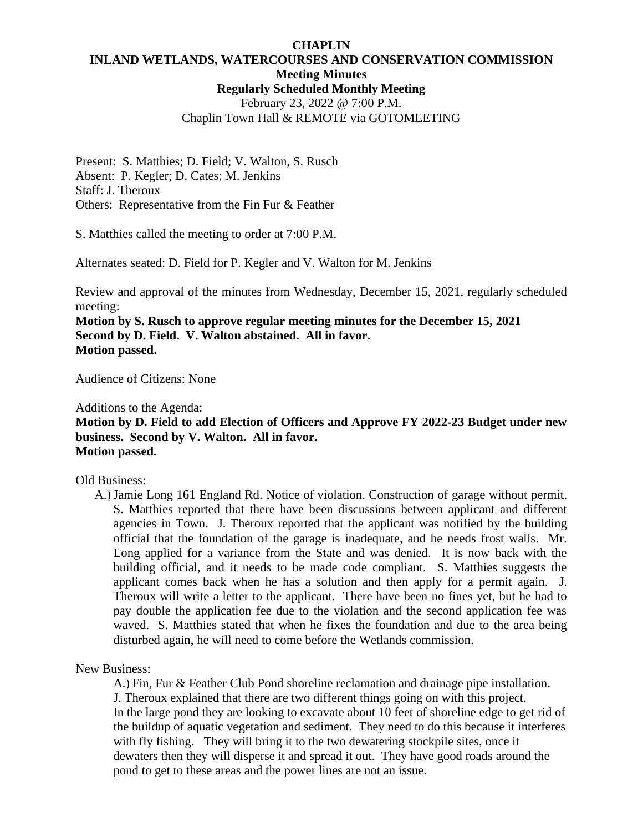#### **CHAPLIN INLAND WETLANDS, WATERCOURSES AND CONSERVATION COMMISSION Meeting Minutes Regularly Scheduled Monthly Meeting** February 23, 2022 @ 7:00 P.M.

# Chaplin Town Hall & REMOTE via GOTOMEETING

Present: S. Matthies; D. Field; V. Walton, S. Rusch Absent: P. Kegler; D. Cates; M. Jenkins Staff: J. Theroux Others: Representative from the Fin Fur & Feather

S. Matthies called the meeting to order at 7:00 P.M.

Alternates seated: D. Field for P. Kegler and V. Walton for M. Jenkins

Review and approval of the minutes from Wednesday, December 15, 2021, regularly scheduled meeting:

**Motion by S. Rusch to approve regular meeting minutes for the December 15, 2021 Second by D. Field. V. Walton abstained. All in favor. Motion passed.**

Audience of Citizens: None

Additions to the Agenda:

### **Motion by D. Field to add Election of Officers and Approve FY 2022-23 Budget under new business. Second by V. Walton. All in favor. Motion passed.**

#### Old Business:

A.) Jamie Long 161 England Rd. Notice of violation. Construction of garage without permit. S. Matthies reported that there have been discussions between applicant and different agencies in Town. J. Theroux reported that the applicant was notified by the building official that the foundation of the garage is inadequate, and he needs frost walls. Mr. Long applied for a variance from the State and was denied. It is now back with the building official, and it needs to be made code compliant. S. Matthies suggests the applicant comes back when he has a solution and then apply for a permit again. J. Theroux will write a letter to the applicant. There have been no fines yet, but he had to pay double the application fee due to the violation and the second application fee was waved. S. Matthies stated that when he fixes the foundation and due to the area being disturbed again, he will need to come before the Wetlands commission.

New Business:

A.) Fin, Fur & Feather Club Pond shoreline reclamation and drainage pipe installation. J. Theroux explained that there are two different things going on with this project. In the large pond they are looking to excavate about 10 feet of shoreline edge to get rid of the buildup of aquatic vegetation and sediment. They need to do this because it interferes with fly fishing. They will bring it to the two dewatering stockpile sites, once it dewaters then they will disperse it and spread it out. They have good roads around the pond to get to these areas and the power lines are not an issue.